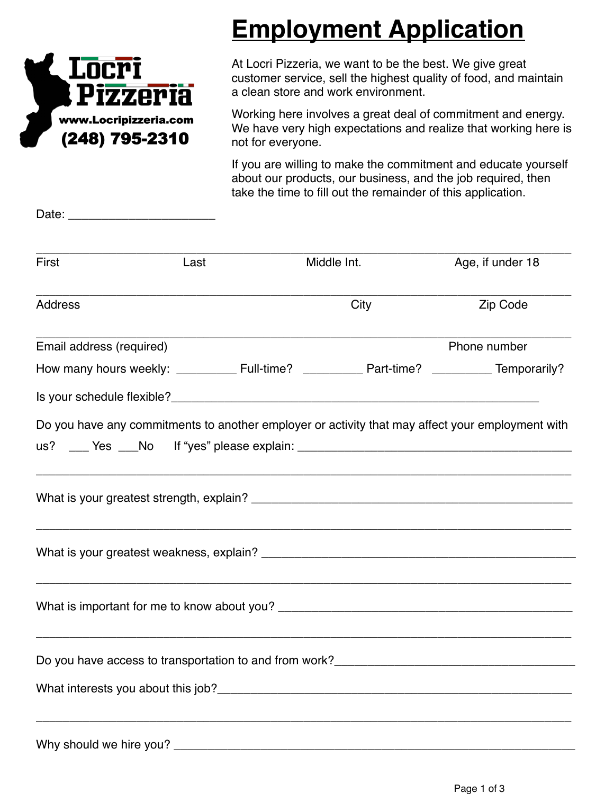

Date: \_\_\_\_\_\_\_\_\_\_\_\_\_\_\_\_\_\_\_\_\_\_

# **Employment Application**

At Locri Pizzeria, we want to be the best. We give great customer service, sell the highest quality of food, and maintain a clean store and work environment.

Working here involves a great deal of commitment and energy. We have very high expectations and realize that working here is not for everyone.

If you are willing to make the commitment and educate yourself about our products, our business, and the job required, then take the time to fill out the remainder of this application.

| First                    | Last | Middle Int.                                                                                      | Age, if under 18 |
|--------------------------|------|--------------------------------------------------------------------------------------------------|------------------|
| <b>Address</b>           |      | City                                                                                             | Zip Code         |
| Email address (required) |      |                                                                                                  | Phone number     |
|                          |      |                                                                                                  |                  |
|                          |      |                                                                                                  |                  |
|                          |      | Do you have any commitments to another employer or activity that may affect your employment with |                  |
|                          |      |                                                                                                  |                  |
|                          |      |                                                                                                  |                  |
|                          |      |                                                                                                  |                  |
|                          |      |                                                                                                  |                  |
|                          |      |                                                                                                  |                  |
| Why should we hire you?  |      |                                                                                                  |                  |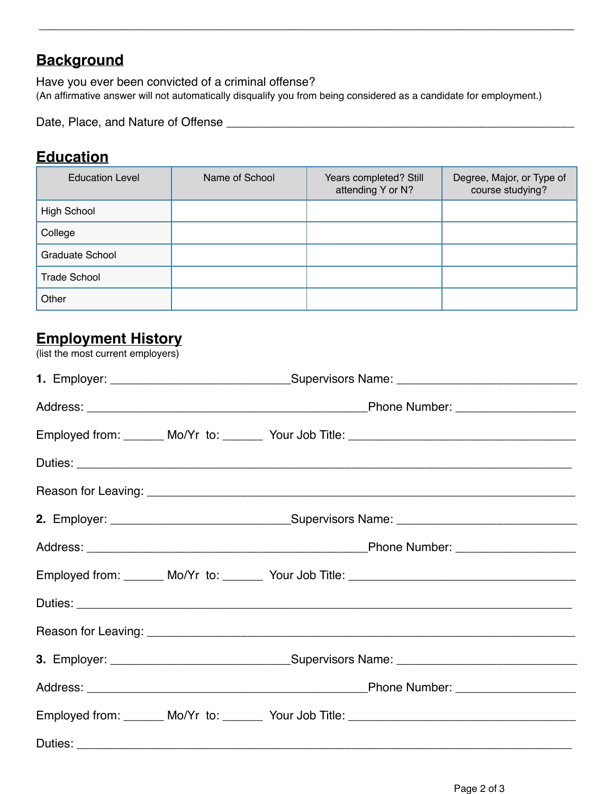## **Background**

Have you ever been convicted of a criminal offense? (An affirmative answer will not automatically disqualify you from being considered as a candidate for employment.)

\_\_\_\_\_\_\_\_\_\_\_\_\_\_\_\_\_\_\_\_\_\_\_\_\_\_\_\_\_\_\_\_\_\_\_\_\_\_\_\_\_\_\_\_\_\_\_\_\_\_\_\_\_\_\_\_\_\_\_\_\_\_\_\_\_\_\_\_\_\_\_\_\_\_\_\_\_\_\_\_

Date, Place, and Nature of Offense \_\_\_\_\_\_\_\_\_\_\_\_\_\_\_\_\_\_\_\_\_\_\_\_\_\_\_\_\_\_\_\_\_\_\_\_\_\_\_\_\_\_\_\_\_\_\_\_\_\_\_\_

### **Education**

| <b>Education Level</b> | Name of School | Years completed? Still<br>attending Y or N? | Degree, Major, or Type of<br>course studying? |
|------------------------|----------------|---------------------------------------------|-----------------------------------------------|
| High School            |                |                                             |                                               |
| College                |                |                                             |                                               |
| Graduate School        |                |                                             |                                               |
| <b>Trade School</b>    |                |                                             |                                               |
| Other                  |                |                                             |                                               |

## **Employment History**

(list the most current employers)

|  |  | Employed from: _______ Mo/Yr to: _______ Your Job Title: ________________________                    |
|--|--|------------------------------------------------------------------------------------------------------|
|  |  |                                                                                                      |
|  |  |                                                                                                      |
|  |  | 2. Employer: ___________________________________Supervisors Name: __________________________________ |
|  |  |                                                                                                      |
|  |  | Employed from: ______ Mo/Yr to: ______ Your Job Title: __________________________                    |
|  |  |                                                                                                      |
|  |  |                                                                                                      |
|  |  | 3. Employer: __________________________________Supervisors Name: ___________________________________ |
|  |  |                                                                                                      |
|  |  |                                                                                                      |
|  |  |                                                                                                      |